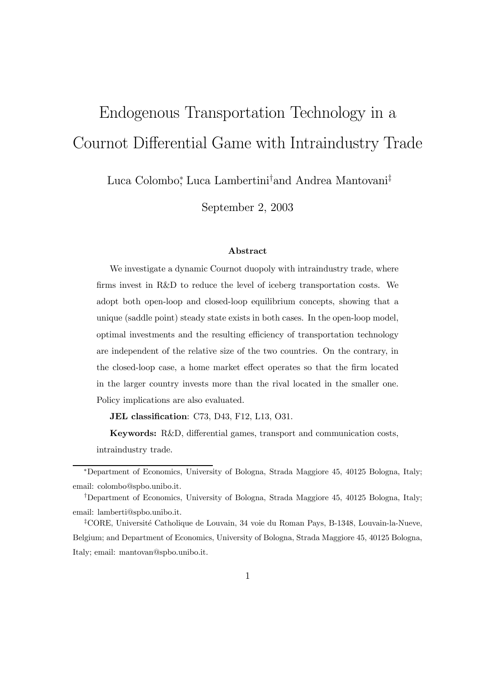# Endogenous Transportation Technology in a Cournot Differential Game with Intraindustry Trade

Luca Colombo<sup>∗</sup> , Luca Lambertini† and Andrea Mantovani‡

September 2, 2003

#### Abstract

We investigate a dynamic Cournot duopoly with intraindustry trade, where firms invest in R&D to reduce the level of iceberg transportation costs. We adopt both open-loop and closed-loop equilibrium concepts, showing that a unique (saddle point) steady state exists in both cases. In the open-loop model, optimal investments and the resulting efficiency of transportation technology are independent of the relative size of the two countries. On the contrary, in the closed-loop case, a home market effect operates so that the firm located in the larger country invests more than the rival located in the smaller one. Policy implications are also evaluated.

JEL classification: C73, D43, F12, L13, O31.

Keywords: R&D, differential games, transport and communication costs, intraindustry trade.

<sup>∗</sup>Department of Economics, University of Bologna, Strada Maggiore 45, 40125 Bologna, Italy; email: colombo@spbo.unibo.it.

<sup>†</sup>Department of Economics, University of Bologna, Strada Maggiore 45, 40125 Bologna, Italy; email: lamberti@spbo.unibo.it.

<sup>&</sup>lt;sup>‡</sup>CORE, Université Catholique de Louvain, 34 voie du Roman Pays, B-1348, Louvain-la-Nueve, Belgium; and Department of Economics, University of Bologna, Strada Maggiore 45, 40125 Bologna, Italy; email: mantovan@spbo.unibo.it.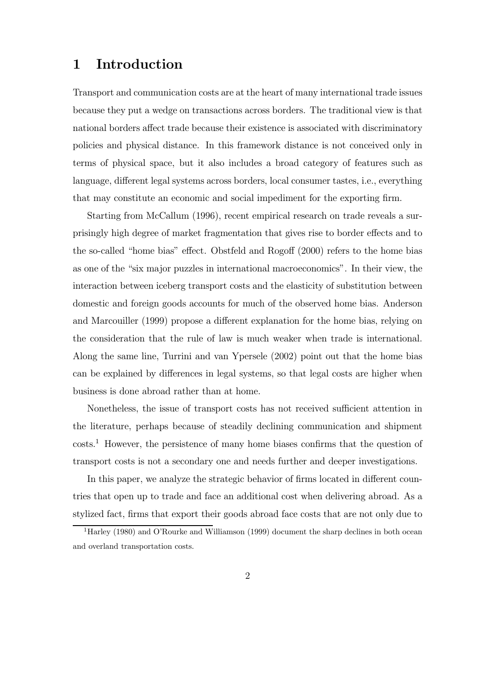#### 1 Introduction

Transport and communication costs are at the heart of many international trade issues because they put a wedge on transactions across borders. The traditional view is that national borders affect trade because their existence is associated with discriminatory policies and physical distance. In this framework distance is not conceived only in terms of physical space, but it also includes a broad category of features such as language, different legal systems across borders, local consumer tastes, i.e., everything that may constitute an economic and social impediment for the exporting firm.

Starting from McCallum (1996), recent empirical research on trade reveals a surprisingly high degree of market fragmentation that gives rise to border effects and to the so-called "home bias" effect. Obstfeld and Rogoff (2000) refers to the home bias as one of the "six major puzzles in international macroeconomics". In their view, the interaction between iceberg transport costs and the elasticity of substitution between domestic and foreign goods accounts for much of the observed home bias. Anderson and Marcouiller (1999) propose a different explanation for the home bias, relying on the consideration that the rule of law is much weaker when trade is international. Along the same line, Turrini and van Ypersele (2002) point out that the home bias can be explained by differences in legal systems, so that legal costs are higher when business is done abroad rather than at home.

Nonetheless, the issue of transport costs has not received sufficient attention in the literature, perhaps because of steadily declining communication and shipment costs.<sup>1</sup> However, the persistence of many home biases confirms that the question of transport costs is not a secondary one and needs further and deeper investigations.

In this paper, we analyze the strategic behavior of firms located in different countries that open up to trade and face an additional cost when delivering abroad. As a stylized fact, firms that export their goods abroad face costs that are not only due to

<sup>&</sup>lt;sup>1</sup>Harley (1980) and O'Rourke and Williamson (1999) document the sharp declines in both ocean and overland transportation costs.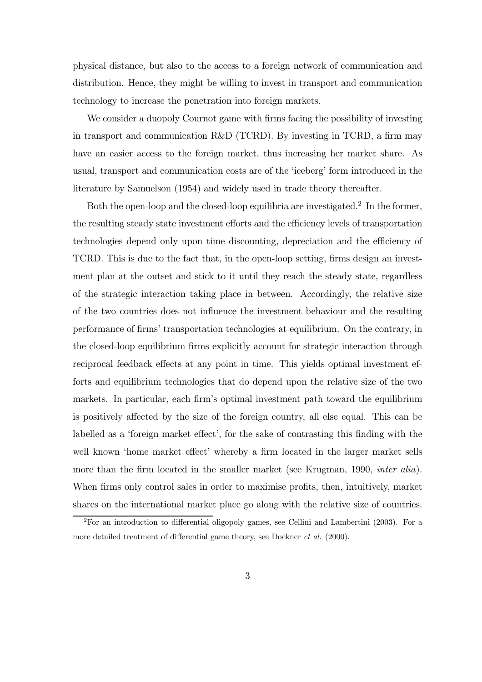physical distance, but also to the access to a foreign network of communication and distribution. Hence, they might be willing to invest in transport and communication technology to increase the penetration into foreign markets.

We consider a duopoly Cournot game with firms facing the possibility of investing in transport and communication R&D (TCRD). By investing in TCRD, a firm may have an easier access to the foreign market, thus increasing her market share. As usual, transport and communication costs are of the 'iceberg' form introduced in the literature by Samuelson (1954) and widely used in trade theory thereafter.

Both the open-loop and the closed-loop equilibria are investigated.<sup>2</sup> In the former, the resulting steady state investment efforts and the efficiency levels of transportation technologies depend only upon time discounting, depreciation and the efficiency of TCRD. This is due to the fact that, in the open-loop setting, firms design an investment plan at the outset and stick to it until they reach the steady state, regardless of the strategic interaction taking place in between. Accordingly, the relative size of the two countries does not influence the investment behaviour and the resulting performance of firms' transportation technologies at equilibrium. On the contrary, in the closed-loop equilibrium firms explicitly account for strategic interaction through reciprocal feedback effects at any point in time. This yields optimal investment efforts and equilibrium technologies that do depend upon the relative size of the two markets. In particular, each firm's optimal investment path toward the equilibrium is positively affected by the size of the foreign country, all else equal. This can be labelled as a 'foreign market effect', for the sake of contrasting this finding with the well known 'home market effect' whereby a firm located in the larger market sells more than the firm located in the smaller market (see Krugman, 1990, *inter alia*). When firms only control sales in order to maximise profits, then, intuitively, market shares on the international market place go along with the relative size of countries.

 ${}^{2}$ For an introduction to differential oligopoly games, see Cellini and Lambertini (2003). For a more detailed treatment of differential game theory, see Dockner et al. (2000).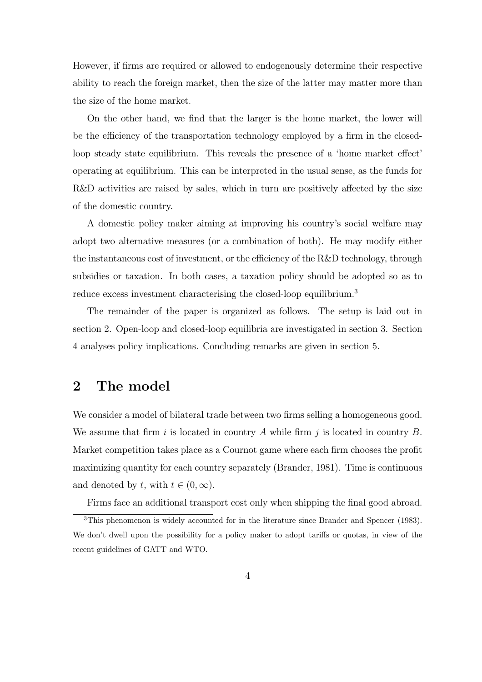However, if firms are required or allowed to endogenously determine their respective ability to reach the foreign market, then the size of the latter may matter more than the size of the home market.

On the other hand, we find that the larger is the home market, the lower will be the efficiency of the transportation technology employed by a firm in the closedloop steady state equilibrium. This reveals the presence of a 'home market effect' operating at equilibrium. This can be interpreted in the usual sense, as the funds for R&D activities are raised by sales, which in turn are positively affected by the size of the domestic country.

A domestic policy maker aiming at improving his country's social welfare may adopt two alternative measures (or a combination of both). He may modify either the instantaneous cost of investment, or the efficiency of the R&D technology, through subsidies or taxation. In both cases, a taxation policy should be adopted so as to reduce excess investment characterising the closed-loop equilibrium.<sup>3</sup>

The remainder of the paper is organized as follows. The setup is laid out in section 2. Open-loop and closed-loop equilibria are investigated in section 3. Section 4 analyses policy implications. Concluding remarks are given in section 5.

#### 2 The model

We consider a model of bilateral trade between two firms selling a homogeneous good. We assume that firm i is located in country A while firm j is located in country  $B$ . Market competition takes place as a Cournot game where each firm chooses the profit maximizing quantity for each country separately (Brander, 1981). Time is continuous and denoted by t, with  $t \in (0, \infty)$ .

Firms face an additional transport cost only when shipping the final good abroad.

<sup>&</sup>lt;sup>3</sup>This phenomenon is widely accounted for in the literature since Brander and Spencer (1983). We don't dwell upon the possibility for a policy maker to adopt tariffs or quotas, in view of the recent guidelines of GATT and WTO.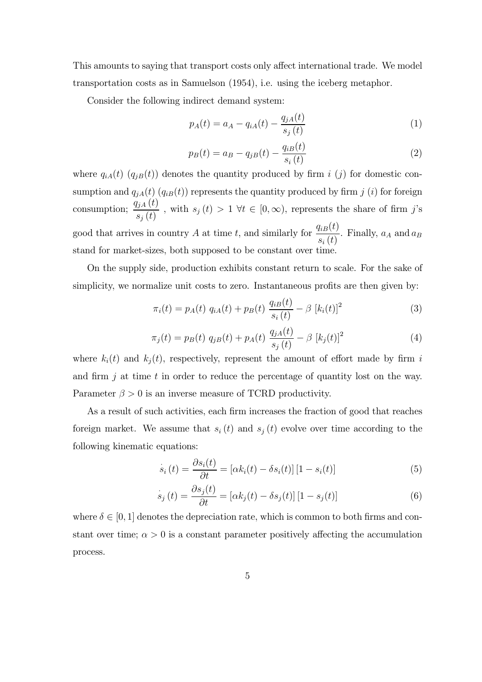This amounts to saying that transport costs only affect international trade. We model transportation costs as in Samuelson (1954), i.e. using the iceberg metaphor.

Consider the following indirect demand system:

$$
p_A(t) = a_A - q_{iA}(t) - \frac{q_{jA}(t)}{s_j(t)}
$$
\n(1)

$$
p_B(t) = a_B - q_{jB}(t) - \frac{q_{iB}(t)}{s_i(t)}
$$
\n(2)

where  $q_{iA}(t)$  ( $q_{jB}(t)$ ) denotes the quantity produced by firm i (j) for domestic consumption and  $q_{jA}(t)$  ( $q_{iB}(t)$ ) represents the quantity produced by firm j (i) for foreign consumption;  $\frac{q_{jA}(t)}{dt}$  $\frac{f(x+g(x))}{s_j(t)}$ , with  $s_j(t) > 1$   $\forall t \in [0,\infty)$ , represents the share of firm j's good that arrives in country A at time t, and similarly for  $\frac{q_{iB}(t)}{f(t)}$  $s_i\left(t\right)$ . Finally,  $a_A$  and  $a_B$ stand for market-sizes, both supposed to be constant over time.

On the supply side, production exhibits constant return to scale. For the sake of simplicity, we normalize unit costs to zero. Instantaneous profits are then given by:

$$
\pi_i(t) = p_A(t) \ q_{iA}(t) + p_B(t) \ \frac{q_{iB}(t)}{s_i(t)} - \beta \ [k_i(t)]^2 \tag{3}
$$

$$
\pi_j(t) = p_B(t) \ q_{jB}(t) + p_A(t) \ \frac{q_{jA}(t)}{s_j(t)} - \beta \ [k_j(t)]^2 \tag{4}
$$

where  $k_i(t)$  and  $k_j(t)$ , respectively, represent the amount of effort made by firm i and firm  $j$  at time  $t$  in order to reduce the percentage of quantity lost on the way. Parameter  $\beta > 0$  is an inverse measure of TCRD productivity.

As a result of such activities, each firm increases the fraction of good that reaches foreign market. We assume that  $s_i(t)$  and  $s_j(t)$  evolve over time according to the following kinematic equations:

$$
\dot{s}_i(t) = \frac{\partial s_i(t)}{\partial t} = [\alpha k_i(t) - \delta s_i(t)][1 - s_i(t)] \tag{5}
$$

$$
\dot{s}_j(t) = \frac{\partial s_j(t)}{\partial t} = [\alpha k_j(t) - \delta s_j(t)][1 - s_j(t)] \tag{6}
$$

where  $\delta \in [0, 1]$  denotes the depreciation rate, which is common to both firms and constant over time;  $\alpha > 0$  is a constant parameter positively affecting the accumulation process.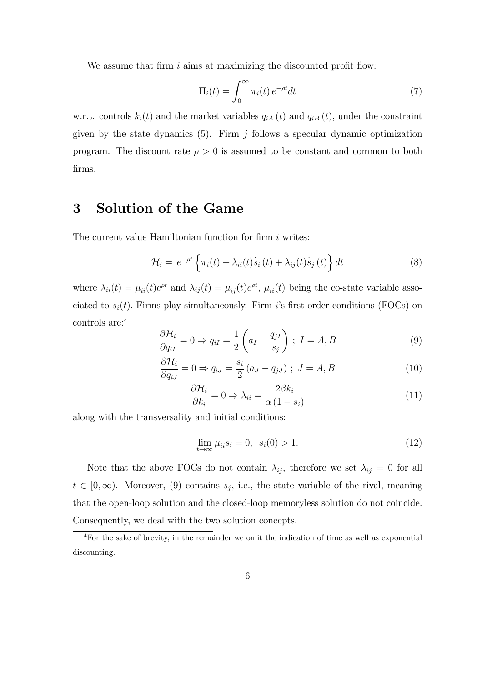We assume that firm  $i$  aims at maximizing the discounted profit flow:

$$
\Pi_i(t) = \int_0^\infty \pi_i(t) e^{-\rho t} dt \tag{7}
$$

w.r.t. controls  $k_i(t)$  and the market variables  $q_{iA}(t)$  and  $q_{iB}(t)$ , under the constraint given by the state dynamics  $(5)$ . Firm j follows a specular dynamic optimization program. The discount rate  $\rho > 0$  is assumed to be constant and common to both firms.

#### 3 Solution of the Game

The current value Hamiltonian function for firm  $i$  writes:

$$
\mathcal{H}_i = e^{-\rho t} \left\{ \pi_i(t) + \lambda_{ii}(t) \dot{s}_i(t) + \lambda_{ij}(t) \dot{s}_j(t) \right\} dt \tag{8}
$$

where  $\lambda_{ii}(t) = \mu_{ii}(t)e^{\rho t}$  and  $\lambda_{ij}(t) = \mu_{ij}(t)e^{\rho t}$ ,  $\mu_{ii}(t)$  being the co-state variable associated to  $s_i(t)$ . Firms play simultaneously. Firm is first order conditions (FOCs) on controls are:<sup>4</sup>

$$
\frac{\partial \mathcal{H}_i}{\partial q_{iI}} = 0 \Rightarrow q_{iI} = \frac{1}{2} \left( a_I - \frac{q_{jI}}{s_j} \right) ; I = A, B \tag{9}
$$

$$
\frac{\partial \mathcal{H}_i}{\partial q_{iJ}} = 0 \Rightarrow q_{iJ} = \frac{s_i}{2} (a_J - q_{jJ}) \; ; \; J = A, B \tag{10}
$$

$$
\frac{\partial \mathcal{H}_i}{\partial k_i} = 0 \Rightarrow \lambda_{ii} = \frac{2\beta k_i}{\alpha (1 - s_i)}
$$
(11)

along with the transversality and initial conditions:

$$
\lim_{t \to \infty} \mu_{ii} s_i = 0, \ \ s_i(0) > 1. \tag{12}
$$

Note that the above FOCs do not contain  $\lambda_{ij}$ , therefore we set  $\lambda_{ij} = 0$  for all  $t \in [0, \infty)$ . Moreover, (9) contains  $s_j$ , i.e., the state variable of the rival, meaning that the open-loop solution and the closed-loop memoryless solution do not coincide. Consequently, we deal with the two solution concepts.

<sup>4</sup>For the sake of brevity, in the remainder we omit the indication of time as well as exponential discounting.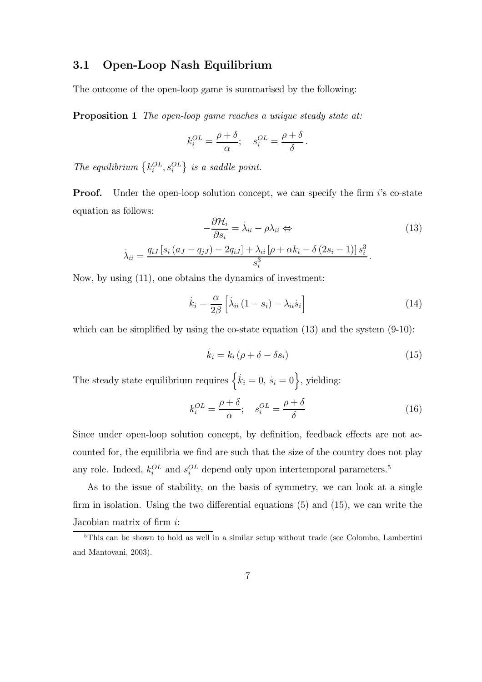#### 3.1 Open-Loop Nash Equilibrium

The outcome of the open-loop game is summarised by the following:

**Proposition 1** The open-loop game reaches a unique steady state at:

$$
k_i^{OL} = \frac{\rho + \delta}{\alpha}; \quad s_i^{OL} = \frac{\rho + \delta}{\delta}.
$$

The equilibrium  $\{k_i^{OL}, s_i^{OL}\}$  is a saddle point.

**Proof.** Under the open-loop solution concept, we can specify the firm  $i$ 's co-state equation as follows:

$$
-\frac{\partial \mathcal{H}_i}{\partial s_i} = \lambda_{ii} - \rho \lambda_{ii} \Leftrightarrow
$$
  

$$
\lambda_{ii} = \frac{q_{iJ} \left[ s_i \left( a_J - q_{jJ} \right) - 2q_{iJ} \right] + \lambda_{ii} \left[ \rho + \alpha k_i - \delta \left( 2s_i - 1 \right) \right] s_i^3}{s_i^3}.
$$

$$
(13)
$$

Now, by using (11), one obtains the dynamics of investment:

$$
\dot{k}_{i} = \frac{\alpha}{2\beta} \left[ \dot{\lambda}_{ii} \left( 1 - s_{i} \right) - \lambda_{ii} \dot{s}_{i} \right] \tag{14}
$$

which can be simplified by using the co-state equation (13) and the system  $(9-10)$ :

$$
\dot{k}_i = k_i \left( \rho + \delta - \delta s_i \right) \tag{15}
$$

The steady state equilibrium requires  $\{k_i = 0, s_i = 0\}$ , yielding:

$$
k_i^{OL} = \frac{\rho + \delta}{\alpha}; \quad s_i^{OL} = \frac{\rho + \delta}{\delta}
$$
 (16)

Since under open-loop solution concept, by definition, feedback effects are not accounted for, the equilibria we find are such that the size of the country does not play any role. Indeed,  $k_i^{OL}$  and  $s_i^{OL}$  depend only upon intertemporal parameters.<sup>5</sup>

As to the issue of stability, on the basis of symmetry, we can look at a single firm in isolation. Using the two differential equations (5) and (15), we can write the Jacobian matrix of firm i:

<sup>&</sup>lt;sup>5</sup>This can be shown to hold as well in a similar setup without trade (see Colombo, Lambertini and Mantovani, 2003).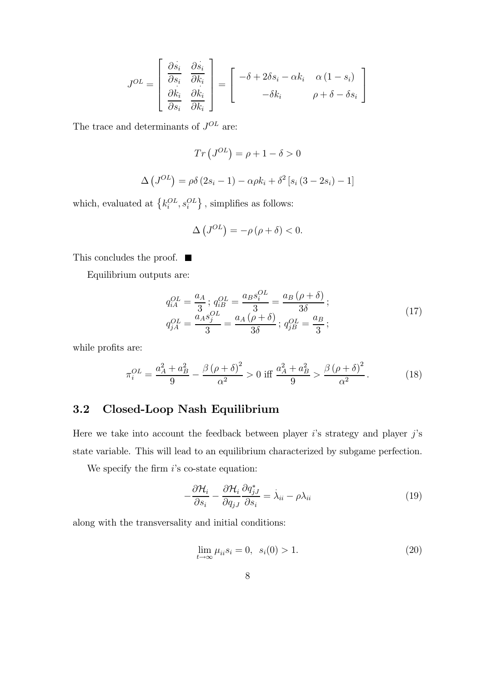$$
J^{OL} = \begin{bmatrix} \frac{\partial s_i}{\partial s_i} & \frac{\partial s_i}{\partial k_i} \\ \frac{\partial k_i}{\partial s_i} & \frac{\partial k_i}{\partial k_i} \end{bmatrix} = \begin{bmatrix} -\delta + 2\delta s_i - \alpha k_i & \alpha (1 - s_i) \\ -\delta k_i & \rho + \delta - \delta s_i \end{bmatrix}
$$

The trace and determinants of  ${\cal J}^{OL}$  are:

$$
Tr(J^{OL}) = \rho + 1 - \delta > 0
$$

$$
\Delta (J^{OL}) = \rho \delta (2s_i - 1) - \alpha \rho k_i + \delta^2 [s_i (3 - 2s_i) - 1]
$$

which, evaluated at  $\left\{k_i^{OL}, s_i^{OL}\right\}$ , simplifies as follows:

$$
\Delta\left(J^{OL}\right) = -\rho\left(\rho + \delta\right) < 0.
$$

This concludes the proof.  $\blacksquare$ 

Equilibrium outputs are:

$$
q_{iA}^{OL} = \frac{a_A}{3}; q_{iB}^{OL} = \frac{a_B s_i^{OL}}{3} = \frac{a_B (\rho + \delta)}{3\delta};
$$
  
\n
$$
q_{jA}^{OL} = \frac{a_A s_j^{OL}}{3} = \frac{a_A (\rho + \delta)}{3\delta}; q_{jB}^{OL} = \frac{a_B}{3};
$$
\n(17)

while profits are:

$$
\pi_i^{OL} = \frac{a_A^2 + a_B^2}{9} - \frac{\beta(\rho + \delta)^2}{\alpha^2} > 0 \text{ iff } \frac{a_A^2 + a_B^2}{9} > \frac{\beta(\rho + \delta)^2}{\alpha^2}.
$$
 (18)

#### 3.2 Closed-Loop Nash Equilibrium

Here we take into account the feedback between player  $i$ 's strategy and player  $j$ 's state variable. This will lead to an equilibrium characterized by subgame perfection.

We specify the firm  $i$ 's co-state equation:

$$
-\frac{\partial \mathcal{H}_i}{\partial s_i} - \frac{\partial \mathcal{H}_i}{\partial q_{jJ}} \frac{\partial q_{jJ}^*}{\partial s_i} = \dot{\lambda}_{ii} - \rho \lambda_{ii}
$$
(19)

along with the transversality and initial conditions:

$$
\lim_{t \to \infty} \mu_{ii} s_i = 0, \ \ s_i(0) > 1. \tag{20}
$$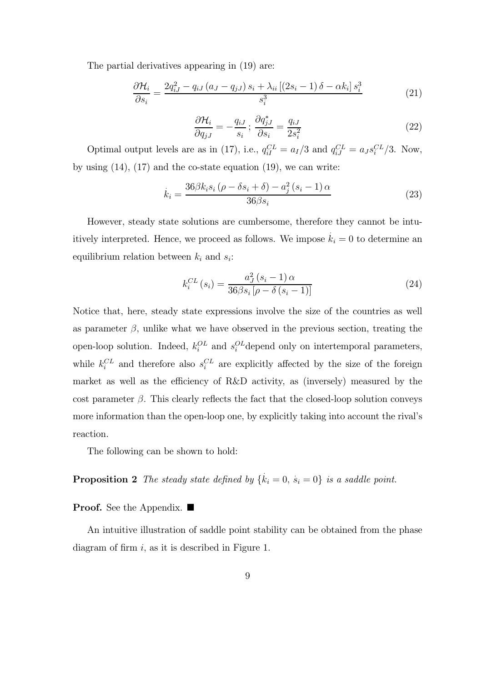The partial derivatives appearing in (19) are:

$$
\frac{\partial \mathcal{H}_i}{\partial s_i} = \frac{2q_{iJ}^2 - q_{iJ} \left(a_J - q_{jJ}\right) s_i + \lambda_{ii} \left[\left(2s_i - 1\right)\delta - \alpha k_i\right] s_i^3}{s_i^3} \tag{21}
$$

$$
\frac{\partial \mathcal{H}_i}{\partial q_{jJ}} = -\frac{q_{iJ}}{s_i}; \ \frac{\partial q_{jJ}^*}{\partial s_i} = \frac{q_{iJ}}{2s_i^2}
$$
(22)

Optimal output levels are as in (17), i.e.,  $q_{iI}^{CL} = a_I/3$  and  $q_{iJ}^{CL} = a_J s_i^{CL}/3$ . Now, by using  $(14)$ ,  $(17)$  and the co-state equation  $(19)$ , we can write:

$$
\dot{k}_i = \frac{36\beta k_i s_i \left(\rho - \delta s_i + \delta\right) - a_j^2 \left(s_i - 1\right) \alpha}{36\beta s_i} \tag{23}
$$

However, steady state solutions are cumbersome, therefore they cannot be intuitively interpreted. Hence, we proceed as follows. We impose  $\dot{k}_i = 0$  to determine an equilibrium relation between  $k_i$  and  $s_i$ :

$$
k_i^{CL}(s_i) = \frac{a_J^2(s_i - 1)\alpha}{36\beta s_i [\rho - \delta(s_i - 1)]}
$$
 (24)

Notice that, here, steady state expressions involve the size of the countries as well as parameter  $\beta$ , unlike what we have observed in the previous section, treating the open-loop solution. Indeed,  $k_i^{OL}$  and  $s_i^{OL}$  depend only on intertemporal parameters, while  $k_i^{CL}$  and therefore also  $s_i^{CL}$  are explicitly affected by the size of the foreign market as well as the efficiency of R&D activity, as (inversely) measured by the cost parameter  $\beta$ . This clearly reflects the fact that the closed-loop solution conveys more information than the open-loop one, by explicitly taking into account the rival's reaction.

The following can be shown to hold:

**Proposition 2** The steady state defined by  $\{k_i = 0, s_i = 0\}$  is a saddle point.

**Proof.** See the Appendix.  $\blacksquare$ 

An intuitive illustration of saddle point stability can be obtained from the phase diagram of firm  $i$ , as it is described in Figure 1.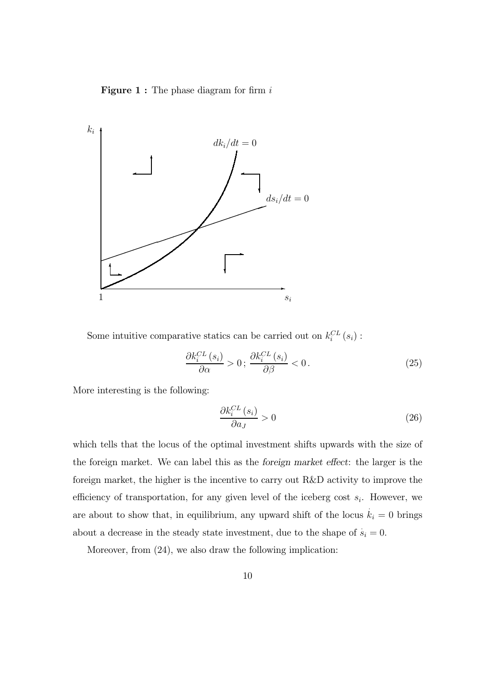**Figure 1 :** The phase diagram for firm  $i$ 



Some intuitive comparative statics can be carried out on  $k_i^{CL}(s_i)$ :

$$
\frac{\partial k_i^{CL}(s_i)}{\partial \alpha} > 0; \frac{\partial k_i^{CL}(s_i)}{\partial \beta} < 0.
$$
 (25)

More interesting is the following:

$$
\frac{\partial k_i^{CL}(s_i)}{\partial a_j} > 0\tag{26}
$$

which tells that the locus of the optimal investment shifts upwards with the size of the foreign market. We can label this as the foreign market effect: the larger is the foreign market, the higher is the incentive to carry out R&D activity to improve the efficiency of transportation, for any given level of the iceberg cost  $s_i$ . However, we are about to show that, in equilibrium, any upward shift of the locus  $\dot{k}_i = 0$  brings about a decrease in the steady state investment, due to the shape of  $\dot{s}_i = 0$ .

Moreover, from (24), we also draw the following implication: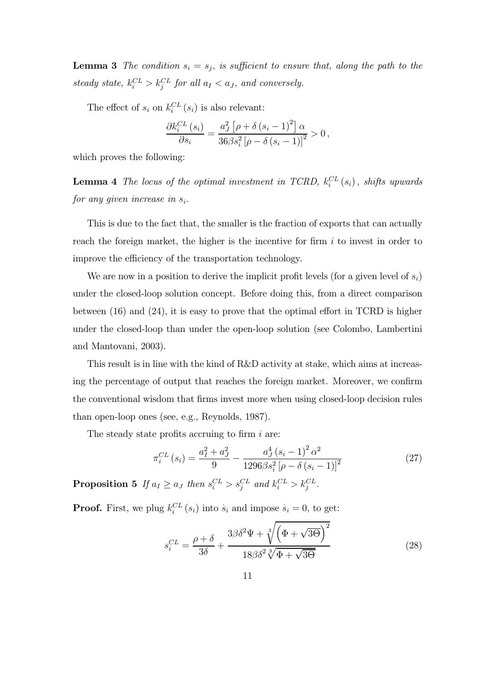**Lemma 3** The condition  $s_i = s_j$ , is sufficient to ensure that, along the path to the steady state,  $k_i^{CL} > k_j^{CL}$  for all  $a_I < a_J$ , and conversely.

The effect of  $s_i$  on  $k_i^{CL}(s_i)$  is also relevant:

$$
\frac{\partial k_i^{CL}(s_i)}{\partial s_i} = \frac{a_J^2 \left[\rho + \delta (s_i - 1)^2\right] \alpha}{36 \beta s_i^2 \left[\rho - \delta (s_i - 1)\right]^2} > 0,
$$

which proves the following:

**Lemma 4** The locus of the optimal investment in TCRD,  $k_i^{CL}(s_i)$ , shifts upwards for any given increase in  $s_i$ .

This is due to the fact that, the smaller is the fraction of exports that can actually reach the foreign market, the higher is the incentive for firm  $i$  to invest in order to improve the efficiency of the transportation technology.

We are now in a position to derive the implicit profit levels (for a given level of  $s_i$ ) under the closed-loop solution concept. Before doing this, from a direct comparison between (16) and (24), it is easy to prove that the optimal effort in TCRD is higher under the closed-loop than under the open-loop solution (see Colombo, Lambertini and Mantovani, 2003).

This result is in line with the kind of R&D activity at stake, which aims at increasing the percentage of output that reaches the foreign market. Moreover, we confirm the conventional wisdom that firms invest more when using closed-loop decision rules than open-loop ones (see, e.g., Reynolds, 1987).

The steady state profits accruing to firm  $i$  are:

$$
\pi_i^{CL}(s_i) = \frac{a_I^2 + a_J^2}{9} - \frac{a_J^4 (s_i - 1)^2 \alpha^2}{1296 \beta s_i^2 \left[ \rho - \delta (s_i - 1) \right]^2}
$$
(27)

**Proposition 5** If  $a_I \ge a_J$  then  $s_i^{CL} > s_j^{CL}$  and  $k_i^{CL} > k_j^{CL}$ .

**Proof.** First, we plug  $k_i^{CL}(s_i)$  into  $\dot{s}_i$  and impose  $\dot{s}_i = 0$ , to get:

$$
s_i^{CL} = \frac{\rho + \delta}{3\delta} + \frac{3\beta\delta^2\Psi + \sqrt[3]{\left(\Phi + \sqrt{3\Theta}\right)^2}}{18\beta\delta^2\sqrt[3]{\Phi + \sqrt{3\Theta}}}
$$
(28)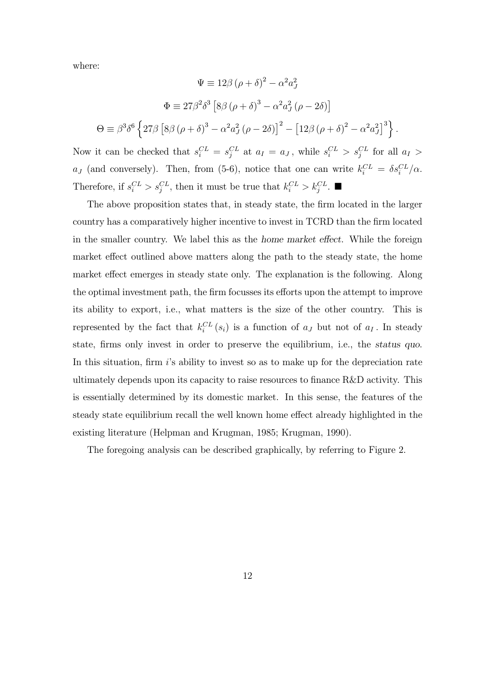where:

$$
\Psi \equiv 12\beta (\rho + \delta)^2 - \alpha^2 a_J^2
$$

$$
\Phi \equiv 27\beta^2 \delta^3 \left[ 8\beta (\rho + \delta)^3 - \alpha^2 a_J^2 (\rho - 2\delta) \right]
$$

$$
\Theta \equiv \beta^3 \delta^6 \left\{ 27\beta \left[ 8\beta (\rho + \delta)^3 - \alpha^2 a_J^2 (\rho - 2\delta) \right]^2 - \left[ 12\beta (\rho + \delta)^2 - \alpha^2 a_J^2 \right]^3 \right\}.
$$

Now it can be checked that  $s_i^{CL} = s_j^{CL}$  at  $a_I = a_J$ , while  $s_i^{CL} > s_j^{CL}$  for all  $a_I >$  $a_J$  (and conversely). Then, from (5-6), notice that one can write  $k_i^{CL} = \delta s_i^{CL}/\alpha$ . Therefore, if  $s_i^{CL} > s_j^{CL}$ , then it must be true that  $k_i^{CL} > k_j^{CL}$ .

The above proposition states that, in steady state, the firm located in the larger country has a comparatively higher incentive to invest in TCRD than the firm located in the smaller country. We label this as the home market effect. While the foreign market effect outlined above matters along the path to the steady state, the home market effect emerges in steady state only. The explanation is the following. Along the optimal investment path, the firm focusses its efforts upon the attempt to improve its ability to export, i.e., what matters is the size of the other country. This is represented by the fact that  $k_i^{CL}(s_i)$  is a function of  $a_j$  but not of  $a_l$ . In steady state, firms only invest in order to preserve the equilibrium, i.e., the status quo. In this situation, firm i's ability to invest so as to make up for the depreciation rate ultimately depends upon its capacity to raise resources to finance R&D activity. This is essentially determined by its domestic market. In this sense, the features of the steady state equilibrium recall the well known home effect already highlighted in the existing literature (Helpman and Krugman, 1985; Krugman, 1990).

The foregoing analysis can be described graphically, by referring to Figure 2.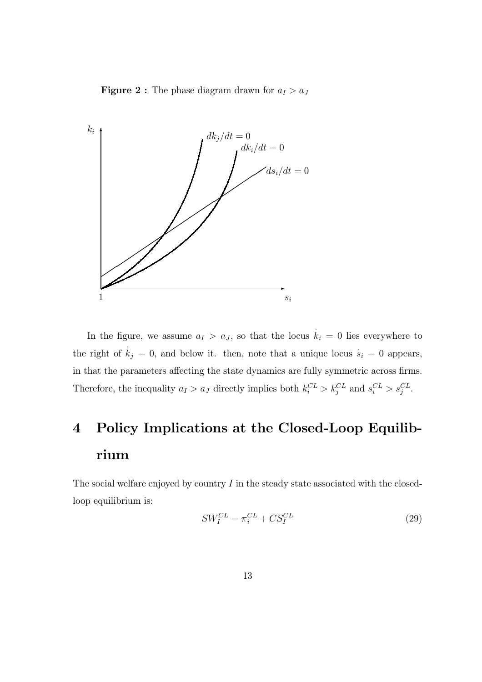**Figure 2 :** The phase diagram drawn for  $a_I > a_J$ 



In the figure, we assume  $a_I > a_J$ , so that the locus  $\dot{k}_i = 0$  lies everywhere to the right of  $k_j = 0$ , and below it. then, note that a unique locus  $\dot{s}_i = 0$  appears, in that the parameters affecting the state dynamics are fully symmetric across firms. Therefore, the inequality  $a_I > a_J$  directly implies both  $k_i^{CL} > k_j^{CL}$  and  $s_i^{CL} > s_j^{CL}$ .

# 4 Policy Implications at the Closed-Loop Equilibrium

The social welfare enjoyed by country  $I$  in the steady state associated with the closedloop equilibrium is:

$$
SW_I^{CL} = \pi_i^{CL} + CS_I^{CL}
$$
\n
$$
(29)
$$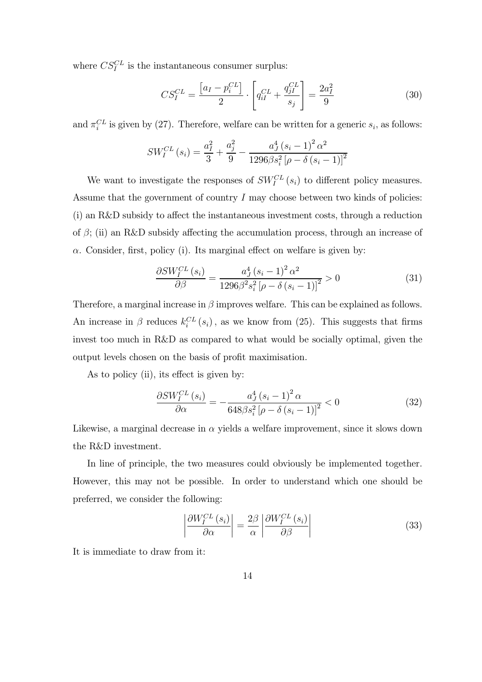where  $CS_I^{CL}$  is the instantaneous consumer surplus:

$$
CS_I^{CL} = \frac{[a_I - p_i^{CL}]}{2} \cdot \left[ q_{iI}^{CL} + \frac{q_{jI}^{CL}}{s_j} \right] = \frac{2a_I^2}{9}
$$
(30)

and  $\pi_i^{CL}$  is given by (27). Therefore, welfare can be written for a generic  $s_i$ , as follows:

$$
SW_I^{CL}(s_i) = \frac{a_I^2}{3} + \frac{a_j^2}{9} - \frac{a_J^4 (s_i - 1)^2 \alpha^2}{1296 \beta s_i^2 [\rho - \delta (s_i - 1)]^2}
$$

We want to investigate the responses of  $SW_I^{CL}(s_i)$  to different policy measures. Assume that the government of country  $I$  may choose between two kinds of policies: (i) an R&D subsidy to affect the instantaneous investment costs, through a reduction of  $\beta$ ; (ii) an R&D subsidy affecting the accumulation process, through an increase of  $\alpha$ . Consider, first, policy (i). Its marginal effect on welfare is given by:

$$
\frac{\partial SW_{I}^{CL}(s_{i})}{\partial \beta} = \frac{a_{J}^{4}(s_{i} - 1)^{2} \alpha^{2}}{1296 \beta^{2} s_{i}^{2} \left[ \rho - \delta (s_{i} - 1) \right]^{2}} > 0
$$
\n(31)

Therefore, a marginal increase in  $\beta$  improves welfare. This can be explained as follows. An increase in  $\beta$  reduces  $k_i^{CL}(s_i)$ , as we know from (25). This suggests that firms invest too much in R&D as compared to what would be socially optimal, given the output levels chosen on the basis of profit maximisation.

As to policy (ii), its effect is given by:

$$
\frac{\partial SW_{I}^{CL}(s_{i})}{\partial \alpha} = -\frac{a_{J}^{4}(s_{i}-1)^{2} \alpha}{648\beta s_{i}^{2} \left[\rho - \delta\left(s_{i}-1\right)\right]^{2}} < 0
$$
\n(32)

Likewise, a marginal decrease in  $\alpha$  yields a welfare improvement, since it slows down the R&D investment.

In line of principle, the two measures could obviously be implemented together. However, this may not be possible. In order to understand which one should be preferred, we consider the following:

$$
\left| \frac{\partial W_{I}^{CL}(s_{i})}{\partial \alpha} \right| = \frac{2\beta}{\alpha} \left| \frac{\partial W_{I}^{CL}(s_{i})}{\partial \beta} \right| \tag{33}
$$

It is immediate to draw from it: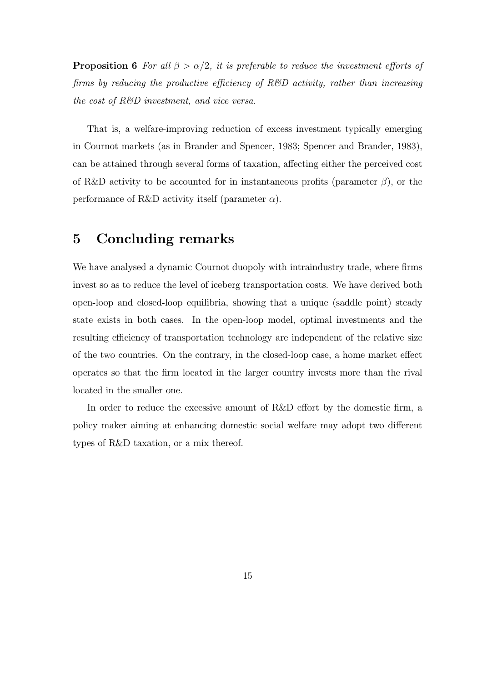**Proposition 6** For all  $\beta > \alpha/2$ , it is preferable to reduce the investment efforts of firms by reducing the productive efficiency of R&D activity, rather than increasing the cost of R&D investment, and vice versa.

That is, a welfare-improving reduction of excess investment typically emerging in Cournot markets (as in Brander and Spencer, 1983; Spencer and Brander, 1983), can be attained through several forms of taxation, affecting either the perceived cost of R&D activity to be accounted for in instantaneous profits (parameter  $\beta$ ), or the performance of R&D activity itself (parameter  $\alpha$ ).

#### 5 Concluding remarks

We have analysed a dynamic Cournot duopoly with intraindustry trade, where firms invest so as to reduce the level of iceberg transportation costs. We have derived both open-loop and closed-loop equilibria, showing that a unique (saddle point) steady state exists in both cases. In the open-loop model, optimal investments and the resulting efficiency of transportation technology are independent of the relative size of the two countries. On the contrary, in the closed-loop case, a home market effect operates so that the firm located in the larger country invests more than the rival located in the smaller one.

In order to reduce the excessive amount of R&D effort by the domestic firm, a policy maker aiming at enhancing domestic social welfare may adopt two different types of R&D taxation, or a mix thereof.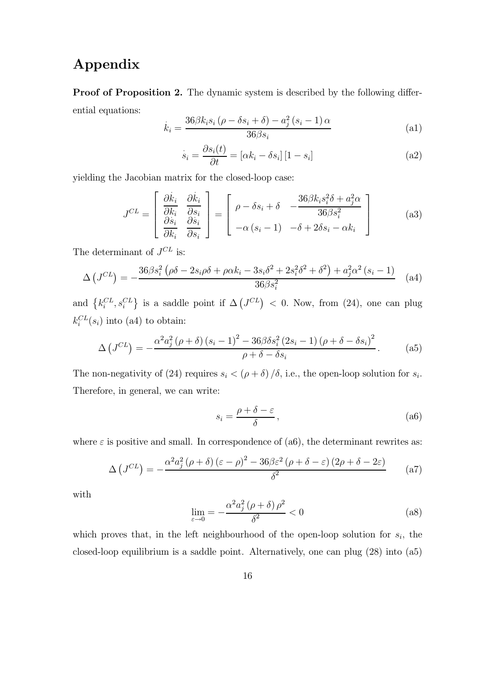## Appendix

Proof of Proposition 2. The dynamic system is described by the following differential equations:

$$
\dot{k}_{i} = \frac{36\beta k_{i} s_{i} \left(\rho - \delta s_{i} + \delta\right) - a_{j}^{2} \left(s_{i} - 1\right) \alpha}{36\beta s_{i}} \tag{a1}
$$

$$
\dot{s}_i = \frac{\partial s_i(t)}{\partial t} = [\alpha k_i - \delta s_i] [1 - s_i]
$$
\n(a2)

yielding the Jacobian matrix for the closed-loop case:

$$
J^{CL} = \begin{bmatrix} \frac{\partial \dot{k}_i}{\partial k_i} & \frac{\partial \dot{k}_i}{\partial s_i} \\ \frac{\partial \dot{s}_i}{\partial k_i} & \frac{\partial \dot{s}_i}{\partial s_i} \end{bmatrix} = \begin{bmatrix} \rho - \delta s_i + \delta & -\frac{36\beta k_i s_i^2 \delta + a_j^2 \alpha}{36\beta s_i^2} \\ -\alpha \left( s_i - 1 \right) & -\delta + 2\delta s_i - \alpha k_i \end{bmatrix} \tag{a3}
$$

The determinant of  $J^{CL}$  is:

$$
\Delta (J^{CL}) = -\frac{36\beta s_i^2 (\rho \delta - 2s_i \rho \delta + \rho \alpha k_i - 3s_i \delta^2 + 2s_i^2 \delta^2 + \delta^2) + a_j^2 \alpha^2 (s_i - 1)}{36\beta s_i^2}
$$
 (a4)

and  $\{k_i^{CL}, s_i^{CL}\}\$ is a saddle point if  $\Delta (J^{CL}) < 0$ . Now, from (24), one can plug  $k_i^{CL}(s_i)$  into (a4) to obtain:

$$
\Delta (J^{CL}) = -\frac{\alpha^2 a_j^2 (\rho + \delta) (s_i - 1)^2 - 36 \beta \delta s_i^2 (2s_i - 1) (\rho + \delta - \delta s_i)^2}{\rho + \delta - \delta s_i}.
$$
 (a5)

The non-negativity of (24) requires  $s_i < (\rho + \delta) / \delta$ , i.e., the open-loop solution for  $s_i$ . Therefore, in general, we can write:

$$
s_i = \frac{\rho + \delta - \varepsilon}{\delta},\tag{a6}
$$

where  $\varepsilon$  is positive and small. In correspondence of (a6), the determinant rewrites as:

$$
\Delta (J^{CL}) = -\frac{\alpha^2 a_j^2 (\rho + \delta) (\varepsilon - \rho)^2 - 36\beta \varepsilon^2 (\rho + \delta - \varepsilon) (2\rho + \delta - 2\varepsilon)}{\delta^2}
$$
 (a7)

with

$$
\lim_{\varepsilon \to 0} = -\frac{\alpha^2 a_j^2 (\rho + \delta) \rho^2}{\delta^2} < 0 \tag{a8}
$$

which proves that, in the left neighbourhood of the open-loop solution for  $s_i$ , the closed-loop equilibrium is a saddle point. Alternatively, one can plug (28) into (a5)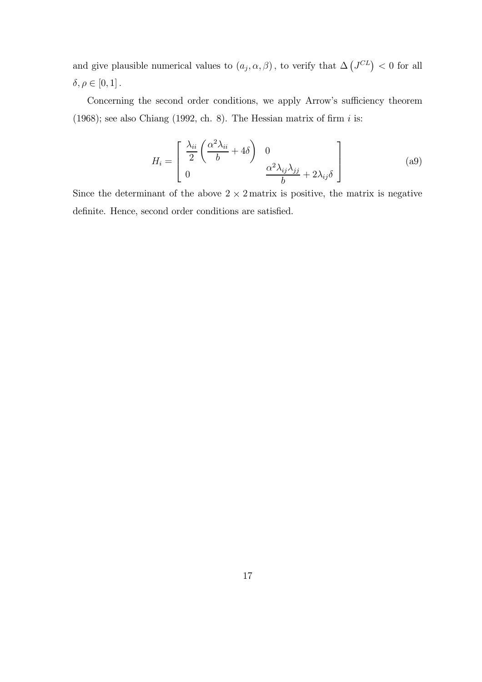and give plausible numerical values to  $(a_j, \alpha, \beta)$ , to verify that  $\Delta (J^{CL}) < 0$  for all  $\delta, \rho \in [0,1]$ .

Concerning the second order conditions, we apply Arrow's sufficiency theorem (1968); see also Chiang (1992, ch. 8). The Hessian matrix of firm  $i$  is:

$$
H_i = \begin{bmatrix} \frac{\lambda_{ii}}{2} \left( \frac{\alpha^2 \lambda_{ii}}{b} + 4\delta \right) & 0\\ 0 & \frac{\alpha^2 \lambda_{ij} \lambda_{jj}}{b} + 2\lambda_{ij} \delta \end{bmatrix}
$$
 (a9)

Since the determinant of the above  $2 \times 2$  matrix is positive, the matrix is negative definite. Hence, second order conditions are satisfied.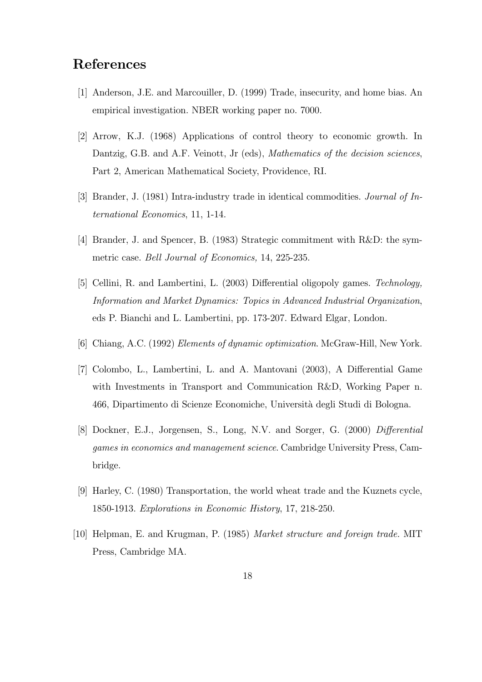### References

- [1] Anderson, J.E. and Marcouiller, D. (1999) Trade, insecurity, and home bias. An empirical investigation. NBER working paper no. 7000.
- [2] Arrow, K.J. (1968) Applications of control theory to economic growth. In Dantzig, G.B. and A.F. Veinott, Jr (eds), Mathematics of the decision sciences, Part 2, American Mathematical Society, Providence, RI.
- [3] Brander, J. (1981) Intra-industry trade in identical commodities. Journal of International Economics, 11, 1-14.
- [4] Brander, J. and Spencer, B. (1983) Strategic commitment with R&D: the symmetric case. Bell Journal of Economics, 14, 225-235.
- [5] Cellini, R. and Lambertini, L. (2003) Differential oligopoly games. Technology, Information and Market Dynamics: Topics in Advanced Industrial Organization, eds P. Bianchi and L. Lambertini, pp. 173-207. Edward Elgar, London.
- [6] Chiang, A.C. (1992) Elements of dynamic optimization. McGraw-Hill, New York.
- [7] Colombo, L., Lambertini, L. and A. Mantovani (2003), A Differential Game with Investments in Transport and Communication R&D, Working Paper n. 466, Dipartimento di Scienze Economiche, Universit`a degli Studi di Bologna.
- [8] Dockner, E.J., Jorgensen, S., Long, N.V. and Sorger, G. (2000) Differential games in economics and management science. Cambridge University Press, Cambridge.
- [9] Harley, C. (1980) Transportation, the world wheat trade and the Kuznets cycle, 1850-1913. Explorations in Economic History, 17, 218-250.
- [10] Helpman, E. and Krugman, P. (1985) Market structure and foreign trade. MIT Press, Cambridge MA.